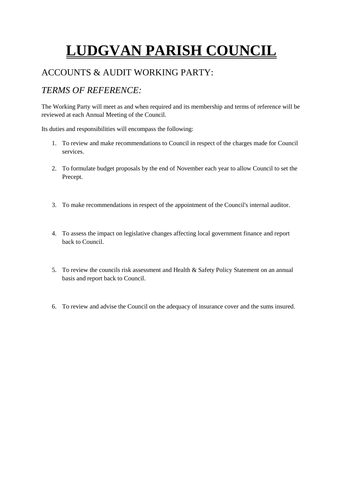# **LUDGVAN PARISH COUNCIL**

## ACCOUNTS & AUDIT WORKING PARTY:

# *TERMS OF REFERENCE:*

The Working Party will meet as and when required and its membership and terms of reference will be reviewed at each Annual Meeting of the Council.

Its duties and responsibilities will encompass the following:

- 1. To review and make recommendations to Council in respect of the charges made for Council services.
- 2. To formulate budget proposals by the end of November each year to allow Council to set the Precept.
- 3. To make recommendations in respect of the appointment of the Council's internal auditor.
- 4. To assess the impact on legislative changes affecting local government finance and report back to Council.
- 5. To review the councils risk assessment and Health & Safety Policy Statement on an annual basis and report back to Council.
- 6. To review and advise the Council on the adequacy of insurance cover and the sums insured.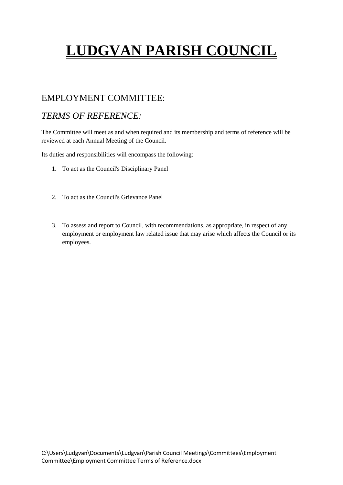# **LUDGVAN PARISH COUNCIL**

## EMPLOYMENT COMMITTEE:

## *TERMS OF REFERENCE:*

The Committee will meet as and when required and its membership and terms of reference will be reviewed at each Annual Meeting of the Council.

Its duties and responsibilities will encompass the following:

- 1. To act as the Council's Disciplinary Panel
- 2. To act as the Council's Grievance Panel
- 3. To assess and report to Council, with recommendations, as appropriate, in respect of any employment or employment law related issue that may arise which affects the Council or its employees.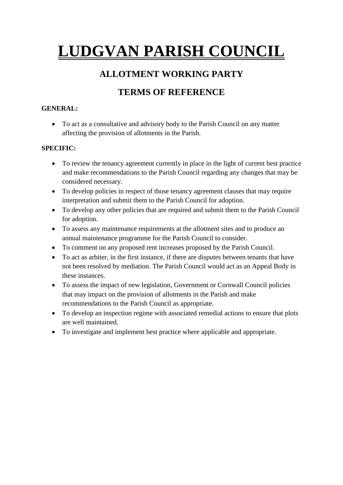# **LUDGVAN PARISH COUNCIL**

## **ALLOTMENT WORKING PARTY**

# **TERMS OF REFERENCE**

### **GENERAL:**

 To act as a consultative and advisory body to the Parish Council on any matter affecting the provision of allotments in the Parish.

### **SPECIFIC:**

- To review the tenancy agreement currently in place in the light of current best practice and make recommendations to the Parish Council regarding any changes that may be considered necessary.
- To develop policies in respect of those tenancy agreement clauses that may require interpretation and submit them to the Parish Council for adoption.
- To develop any other policies that are required and submit them to the Parish Council for adoption.
- To assess any maintenance requirements at the allotment sites and to produce an annual maintenance programme for the Parish Council to consider.
- To comment on any proposed rent increases proposed by the Parish Council.
- To act as arbiter, in the first instance, if there are disputes between tenants that have not been resolved by mediation. The Parish Council would act as an Appeal Body in these instances.
- To assess the impact of new legislation, Government or Cornwall Council policies that may impact on the provision of allotments in the Parish and make recommendations to the Parish Council as appropriate.
- To develop an inspection regime with associated remedial actions to ensure that plots are well maintained.
- To investigate and implement best practice where applicable and appropriate.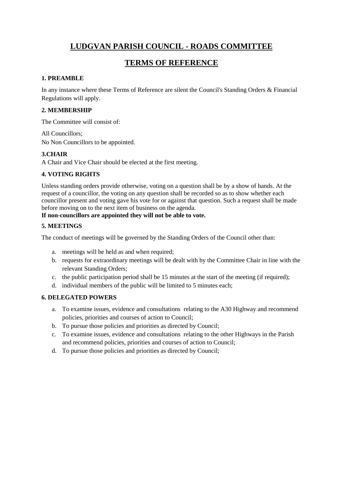## **LUDGVAN PARISH COUNCIL - ROADS COMMITTEE**

## **TERMS OF REFERENCE**

#### **1. PREAMBLE**

In any instance where these Terms of Reference are silent the Council's Standing Orders & Financial Regulations will apply.

#### **2. MEMBERSHIP**

The Committee will consist of:

All Councillors; No Non Councillors to be appointed.

#### **3.CHAIR**

A Chair and Vice Chair should be elected at the first meeting.

#### **4. VOTING RIGHTS**

Unless standing orders provide otherwise, voting on a question shall be by a show of hands. At the request of a councillor, the voting on any question shall be recorded so as to show whether each councillor present and voting gave his vote for or against that question. Such a request shall be made before moving on to the next item of business on the agenda.

#### **If non-councillors are appointed they will not be able to vote.**

#### **5. MEETINGS**

The conduct of meetings will be governed by the Standing Orders of the Council other than:

- a. meetings will be held as and when required;
- b. requests for extraordinary meetings will be dealt with by the Committee Chair in line with the relevant Standing Orders;
- c. the public participation period shall be 15 minutes at the start of the meeting (if required);
- d. individual members of the public will be limited to 5 minutes each;

#### **6. DELEGATED POWERS**

- a. To examine issues, evidence and consultations relating to the A30 Highway and recommend policies, priorities and courses of action to Council;
- b. To pursue those policies and priorities as directed by Council;
- c. To examine issues, evidence and consultations relating to the other Highways in the Parish and recommend policies, priorities and courses of action to Council;
- d. To pursue those policies and priorities as directed by Council;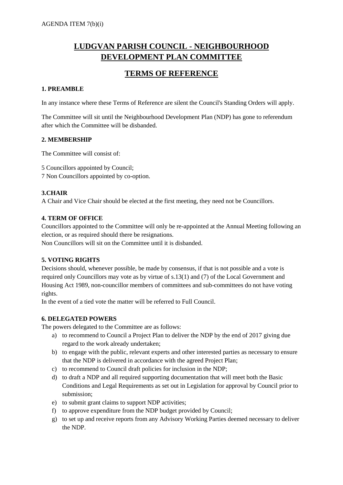## **LUDGVAN PARISH COUNCIL - NEIGHBOURHOOD DEVELOPMENT PLAN COMMITTEE**

## **TERMS OF REFERENCE**

#### **1. PREAMBLE**

In any instance where these Terms of Reference are silent the Council's Standing Orders will apply.

The Committee will sit until the Neighbourhood Development Plan (NDP) has gone to referendum after which the Committee will be disbanded.

#### **2. MEMBERSHIP**

The Committee will consist of:

5 Councillors appointed by Council;

7 Non Councillors appointed by co-option.

#### **3.CHAIR**

A Chair and Vice Chair should be elected at the first meeting, they need not be Councillors.

#### **4. TERM OF OFFICE**

Councillors appointed to the Committee will only be re-appointed at the Annual Meeting following an election, or as required should there be resignations.

Non Councillors will sit on the Committee until it is disbanded.

#### **5. VOTING RIGHTS**

Decisions should, whenever possible, be made by consensus, if that is not possible and a vote is required only Councillors may vote as by virtue of s.13(1) and (7) of the Local Government and Housing Act 1989, non-councillor members of committees and sub-committees do not have voting rights.

In the event of a tied vote the matter will be referred to Full Council.

#### **6. DELEGATED POWERS**

The powers delegated to the Committee are as follows:

- a) to recommend to Council a Project Plan to deliver the NDP by the end of 2017 giving due regard to the work already undertaken;
- b) to engage with the public, relevant experts and other interested parties as necessary to ensure that the NDP is delivered in accordance with the agreed Project Plan;
- c) to recommend to Council draft policies for inclusion in the NDP;
- d) to draft a NDP and all required supporting documentation that will meet both the Basic Conditions and Legal Requirements as set out in Legislation for approval by Council prior to submission;
- e) to submit grant claims to support NDP activities;
- f) to approve expenditure from the NDP budget provided by Council;
- g) to set up and receive reports from any Advisory Working Parties deemed necessary to deliver the NDP.